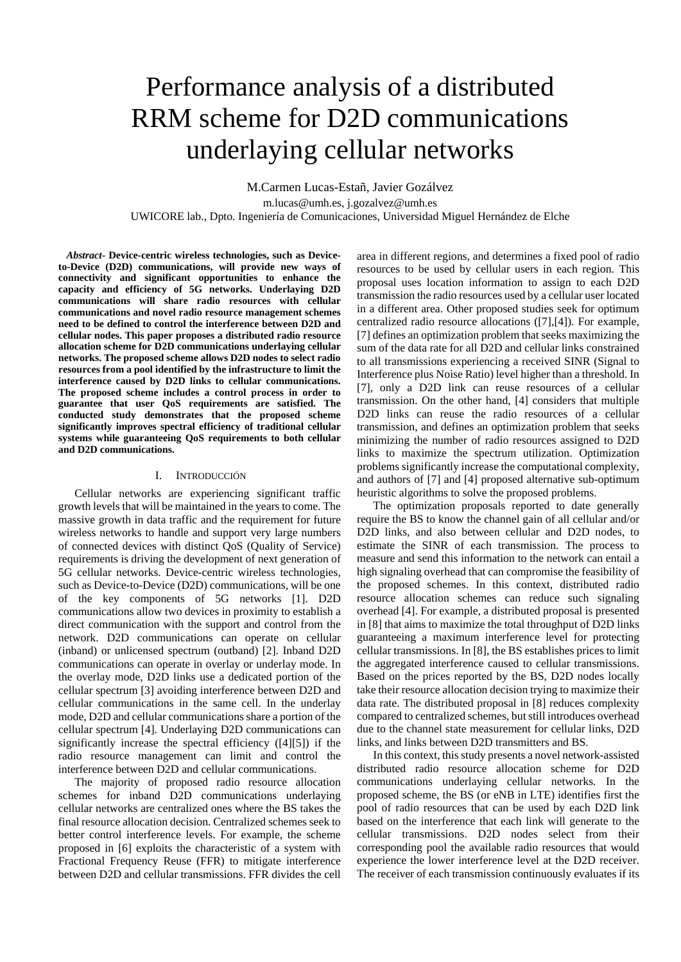# Performance analysis of a distributed RRM scheme for D2D communications underlaying cellular networks

M.Carmen Lucas-Estañ, Javier Gozálvez m.lucas@umh.es, j.gozalvez@umh.es UWICORE lab., Dpto. Ingeniería de Comunicaciones, Universidad Miguel Hernández de Elche

*Abstract***- Device-centric wireless technologies, such as Deviceto-Device (D2D) communications, will provide new ways of connectivity and significant opportunities to enhance the capacity and efficiency of 5G networks. Underlaying D2D communications will share radio resources with cellular communications and novel radio resource management schemes need to be defined to control the interference between D2D and cellular nodes. This paper proposes a distributed radio resource allocation scheme for D2D communications underlaying cellular networks. The proposed scheme allows D2D nodes to select radio resources from a pool identified by the infrastructure to limit the interference caused by D2D links to cellular communications. The proposed scheme includes a control process in order to guarantee that user QoS requirements are satisfied. The conducted study demonstrates that the proposed scheme significantly improves spectral efficiency of traditional cellular systems while guaranteeing QoS requirements to both cellular and D2D communications.** 

#### I. INTRODUCCIÓN

Cellular networks are experiencing significant traffic growth levels that will be maintained in the years to come. The massive growth in data traffic and the requirement for future wireless networks to handle and support very large numbers of connected devices with distinct QoS (Quality of Service) requirements is driving the development of next generation of 5G cellular networks. Device-centric wireless technologies, such as Device-to-Device (D2D) communications, will be one of the key components of 5G networks [1]. D2D communications allow two devices in proximity to establish a direct communication with the support and control from the network. D2D communications can operate on cellular (inband) or unlicensed spectrum (outband) [2]. Inband D2D communications can operate in overlay or underlay mode. In the overlay mode, D2D links use a dedicated portion of the cellular spectrum [3] avoiding interference between D2D and cellular communications in the same cell. In the underlay mode, D2D and cellular communications share a portion of the cellular spectrum [4]. Underlaying D2D communications can significantly increase the spectral efficiency ([4][5]) if the radio resource management can limit and control the interference between D2D and cellular communications.

The majority of proposed radio resource allocation schemes for inband D2D communications underlaying cellular networks are centralized ones where the BS takes the final resource allocation decision. Centralized schemes seek to better control interference levels. For example, the scheme proposed in [6] exploits the characteristic of a system with Fractional Frequency Reuse (FFR) to mitigate interference between D2D and cellular transmissions. FFR divides the cell

area in different regions, and determines a fixed pool of radio resources to be used by cellular users in each region. This proposal uses location information to assign to each D2D transmission the radio resources used by a cellular user located in a different area. Other proposed studies seek for optimum centralized radio resource allocations ([7],[4]). For example, [7] defines an optimization problem that seeks maximizing the sum of the data rate for all D2D and cellular links constrained to all transmissions experiencing a received SINR (Signal to Interference plus Noise Ratio) level higher than a threshold. In [7], only a D2D link can reuse resources of a cellular transmission. On the other hand, [4] considers that multiple D2D links can reuse the radio resources of a cellular transmission, and defines an optimization problem that seeks minimizing the number of radio resources assigned to D2D links to maximize the spectrum utilization. Optimization problems significantly increase the computational complexity, and authors of [7] and [4] proposed alternative sub-optimum heuristic algorithms to solve the proposed problems.

The optimization proposals reported to date generally require the BS to know the channel gain of all cellular and/or D2D links, and also between cellular and D2D nodes, to estimate the SINR of each transmission. The process to measure and send this information to the network can entail a high signaling overhead that can compromise the feasibility of the proposed schemes. In this context, distributed radio resource allocation schemes can reduce such signaling overhead [4]. For example, a distributed proposal is presented in [8] that aims to maximize the total throughput of D2D links guaranteeing a maximum interference level for protecting cellular transmissions. In [8], the BS establishes prices to limit the aggregated interference caused to cellular transmissions. Based on the prices reported by the BS, D2D nodes locally take their resource allocation decision trying to maximize their data rate. The distributed proposal in [8] reduces complexity compared to centralized schemes, but still introduces overhead due to the channel state measurement for cellular links, D2D links, and links between D2D transmitters and BS.

In this context, this study presents a novel network-assisted distributed radio resource allocation scheme for D2D communications underlaying cellular networks. In the proposed scheme, the BS (or eNB in LTE) identifies first the pool of radio resources that can be used by each D2D link based on the interference that each link will generate to the cellular transmissions. D2D nodes select from their corresponding pool the available radio resources that would experience the lower interference level at the D2D receiver. The receiver of each transmission continuously evaluates if its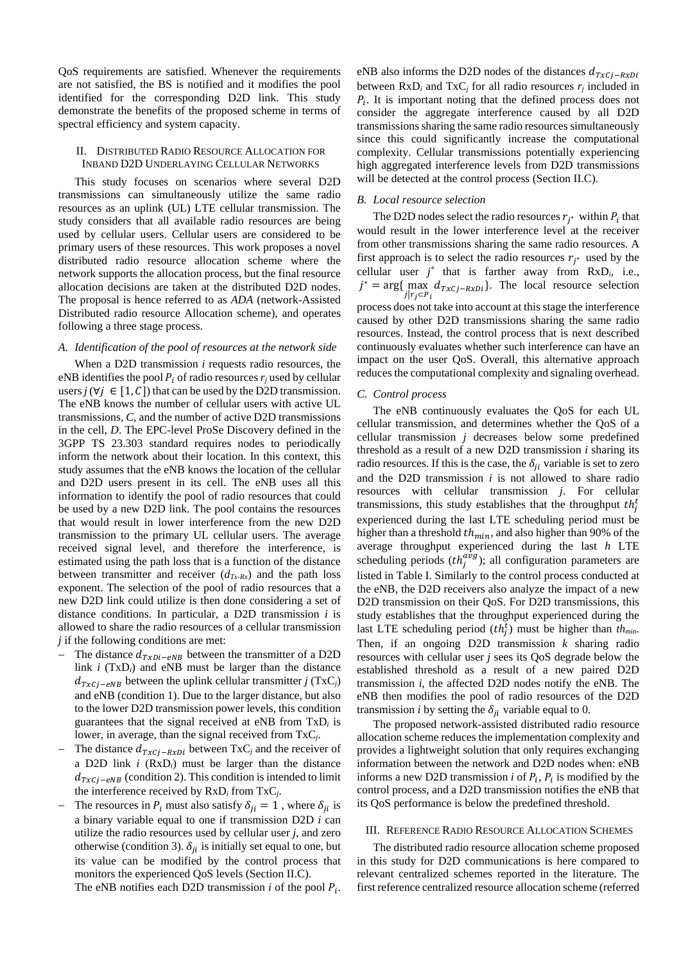QoS requirements are satisfied. Whenever the requirements are not satisfied, the BS is notified and it modifies the pool identified for the corresponding D2D link. This study demonstrate the benefits of the proposed scheme in terms of spectral efficiency and system capacity.

### II. DISTRIBUTED RADIO RESOURCE ALLOCATION FOR INBAND D2D UNDERLAYING CELLULAR NETWORKS

This study focuses on scenarios where several D2D transmissions can simultaneously utilize the same radio resources as an uplink (UL) LTE cellular transmission. The study considers that all available radio resources are being used by cellular users. Cellular users are considered to be primary users of these resources. This work proposes a novel distributed radio resource allocation scheme where the network supports the allocation process, but the final resource allocation decisions are taken at the distributed D2D nodes. The proposal is hence referred to as *ADA* (network-Assisted Distributed radio resource Allocation scheme), and operates following a three stage process.

# *A. Identification of the pool of resources at the network side*

When a D2D transmission *i* requests radio resources, the eNB identifies the pool  $P_i$  of radio resources  $r_i$  used by cellular users *j* ( $\forall j \in [1, C]$ ) that can be used by the D2D transmission. The eNB knows the number of cellular users with active UL transmissions, *C*, and the number of active D2D transmissions in the cell, *D*. The EPC-level ProSe Discovery defined in the 3GPP TS 23.303 standard requires nodes to periodically inform the network about their location. In this context, this study assumes that the eNB knows the location of the cellular and D2D users present in its cell. The eNB uses all this information to identify the pool of radio resources that could be used by a new D2D link. The pool contains the resources that would result in lower interference from the new D2D transmission to the primary UL cellular users. The average received signal level, and therefore the interference, is estimated using the path loss that is a function of the distance between transmitter and receiver  $(d_{Tx-Rx})$  and the path loss exponent. The selection of the pool of radio resources that a new D2D link could utilize is then done considering a set of distance conditions. In particular, a D2D transmission *i* is allowed to share the radio resources of a cellular transmission *j* if the following conditions are met:

- The distance  $d_{TxDi-eNB}$  between the transmitter of a D2D link *i* (TxD*i*) and eNB must be larger than the distance  $d_{Txc}$ <sub>*i*-eNB</sub> between the uplink cellular transmitter *j* (TxC<sub>*i*</sub>)</sub> and eNB (condition 1). Due to the larger distance, but also to the lower D2D transmission power levels, this condition guarantees that the signal received at eNB from TxD*i* is lower, in average, than the signal received from TxC*j*.
- The distance  $d_{Txc i-RxDi}$  between TxC<sub>j</sub> and the receiver of a D2D link *i* (RxD*i*) must be larger than the distance  $d_{Txc}$ <sub>i-eNB</sub> (condition 2). This condition is intended to limit the interference received by RxD*i* from TxC*j*.
- The resources in  $P_i$  must also satisfy  $\delta_{ii} = 1$ , where  $\delta_{ii}$  is a binary variable equal to one if transmission D2D *i* can utilize the radio resources used by cellular user *j*, and zero otherwise (condition 3).  $\delta_{ij}$  is initially set equal to one, but its value can be modified by the control process that monitors the experienced QoS levels (Section II.C).

The eNB notifies each D2D transmission *i* of the pool  $P_i$ .

eNB also informs the D2D nodes of the distances  $d_{Txc,i-RxDi}$ between  $RxD_i$  and  $TxC_j$  for all radio resources  $r_i$  included in  $P_i$ . It is important noting that the defined process does not consider the aggregate interference caused by all D2D transmissions sharing the same radio resources simultaneously since this could significantly increase the computational complexity. Cellular transmissions potentially experiencing high aggregated interference levels from D2D transmissions will be detected at the control process (Section II.C).

# *B. Local resource selection*

The D2D nodes select the radio resources  $r_{i^*}$  within  $P_i$  that would result in the lower interference level at the receiver from other transmissions sharing the same radio resources. A first approach is to select the radio resources  $r_{i^*}$  used by the cellular user  $j^*$  that is farther away from  $RxD_i$ , i.e.,  $j^* = \arg\{\max_{j \mid r_j \in P_i} d_{Txcj - RxDi}\}.$  The local resource selection process does not take into account at this stage the interference caused by other D2D transmissions sharing the same radio resources. Instead, the control process that is next described continuously evaluates whether such interference can have an impact on the user QoS. Overall, this alternative approach reduces the computational complexity and signaling overhead.

#### *C. Control process*

The eNB continuously evaluates the QoS for each UL cellular transmission, and determines whether the QoS of a cellular transmission *j* decreases below some predefined threshold as a result of a new D2D transmission *i* sharing its radio resources. If this is the case, the  $\delta_{ii}$  variable is set to zero and the D2D transmission *i* is not allowed to share radio resources with cellular transmission *j*. For cellular transmissions, this study establishes that the throughput  $th_j^t$ experienced during the last LTE scheduling period must be higher than a threshold  $th_{min}$ , and also higher than 90% of the average throughput experienced during the last *h* LTE scheduling periods  $(th_j^{a\dot{v}g})$ ; all configuration parameters are listed in Table I. Similarly to the control process conducted at the eNB, the D2D receivers also analyze the impact of a new D2D transmission on their QoS. For D2D transmissions, this study establishes that the throughput experienced during the last LTE scheduling period  $(th_j^t)$  must be higher than  $th_{min}$ . Then, if an ongoing D2D transmission *k* sharing radio resources with cellular user *j* sees its QoS degrade below the established threshold as a result of a new paired D2D transmission *i*, the affected D2D nodes notify the eNB. The eNB then modifies the pool of radio resources of the D2D transmission *i* by setting the  $\delta_{ii}$  variable equal to 0.

The proposed network-assisted distributed radio resource allocation scheme reduces the implementation complexity and provides a lightweight solution that only requires exchanging information between the network and D2D nodes when: eNB informs a new D2D transmission *i* of  $P_i$ ,  $P_i$  is modified by the control process, and a D2D transmission notifies the eNB that its QoS performance is below the predefined threshold.

## III. REFERENCE RADIO RESOURCE ALLOCATION SCHEMES

The distributed radio resource allocation scheme proposed in this study for D2D communications is here compared to relevant centralized schemes reported in the literature. The first reference centralized resource allocation scheme (referred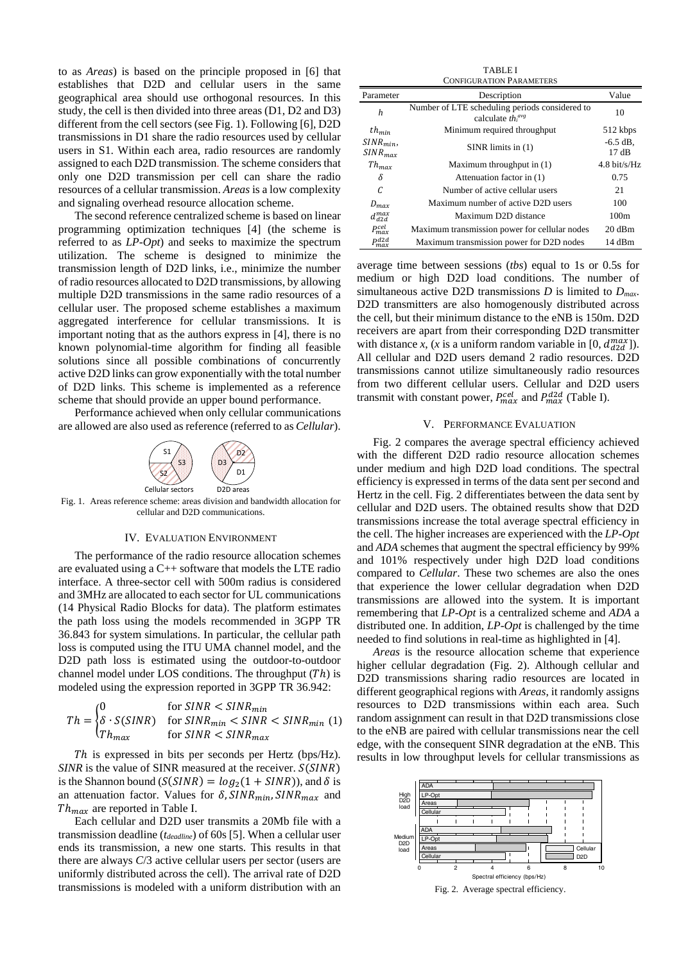to as *Areas*) is based on the principle proposed in [6] that establishes that D2D and cellular users in the same geographical area should use orthogonal resources. In this study, the cell is then divided into three areas (D1, D2 and D3) different from the cell sectors (see Fig. 1). Following [6], D2D transmissions in D1 share the radio resources used by cellular users in S1. Within each area, radio resources are randomly assigned to each D2D transmission. The scheme considers that only one D2D transmission per cell can share the radio resources of a cellular transmission. *Areas* is a low complexity and signaling overhead resource allocation scheme.

The second reference centralized scheme is based on linear programming optimization techniques [4] (the scheme is referred to as *LP-Opt*) and seeks to maximize the spectrum utilization. The scheme is designed to minimize the transmission length of D2D links, i.e., minimize the number of radio resources allocated to D2D transmissions, by allowing multiple D2D transmissions in the same radio resources of a cellular user. The proposed scheme establishes a maximum aggregated interference for cellular transmissions. It is important noting that as the authors express in [4], there is no known polynomial-time algorithm for finding all feasible solutions since all possible combinations of concurrently active D2D links can grow exponentially with the total number of D2D links. This scheme is implemented as a reference scheme that should provide an upper bound performance.

Performance achieved when only cellular communications are allowed are also used as reference (referred to as *Cellular*).



Fig. 1. Areas reference scheme: areas division and bandwidth allocation for cellular and D2D communications.

#### IV. EVALUATION ENVIRONMENT

The performance of the radio resource allocation schemes are evaluated using a C++ software that models the LTE radio interface. A three-sector cell with 500m radius is considered and 3MHz are allocated to each sector for UL communications (14 Physical Radio Blocks for data). The platform estimates the path loss using the models recommended in 3GPP TR 36.843 for system simulations. In particular, the cellular path loss is computed using the ITU UMA channel model, and the D2D path loss is estimated using the outdoor-to-outdoor channel model under LOS conditions. The throughput  $(Th)$  is modeled using the expression reported in 3GPP TR 36.942:

$$
Th = \begin{cases} 0 & \text{for SINR} < SINR_{min} \\ \delta \cdot S(SINR) & \text{for SINR}_{min} < SINR < SINR_{min} \\ Th_{max} & \text{for SINR} < SINR_{max} \end{cases} \tag{1}
$$

Th is expressed in bits per seconds per Hertz (bps/Hz). *SINR* is the value of SINR measured at the receiver.  $S(SINR)$ is the Shannon bound ( $S(SINR) = log_2(1 + SINR)$ ), and  $\delta$  is an attenuation factor. Values for  $\delta$ , SINR<sub>min</sub>, SINR<sub>max</sub> and  $Th_{max}$  are reported in Table I.

Each cellular and D2D user transmits a 20Mb file with a transmission deadline (*tdeadline*) of 60s [5]. When a cellular user ends its transmission, a new one starts. This results in that there are always *C*/3 active cellular users per sector (users are uniformly distributed across the cell). The arrival rate of D2D transmissions is modeled with a uniform distribution with an

|                              | <b>TABLE I</b>                                                       |                        |
|------------------------------|----------------------------------------------------------------------|------------------------|
|                              | <b>CONFIGURATION PARAMETERS</b>                                      |                        |
| Parameter                    | Description                                                          | Value                  |
| $\boldsymbol{h}$             | Number of LTE scheduling periods considered to<br>calculate $thiavg$ | 10                     |
| $th_{min}$                   | Minimum required throughput                                          | 512 kbps               |
| $SINR_{min}$<br>$SINR_{max}$ | $SINR$ limits in $(1)$                                               | $-6.5$ dB.<br>17dB     |
| $Th_{max}$                   | Maximum throughput in $(1)$                                          | $4.8 \text{ hit/s/Hz}$ |
| δ                            | Attenuation factor in (1)                                            | 0.75                   |
| C                            | Number of active cellular users                                      | 21                     |
| $D_{max}$                    | Maximum number of active D2D users                                   | 100                    |
| dmax<br>422                  | Maximum D2D distance                                                 | 100m                   |
| P <sup>cel</sup>             | Maximum transmission power for cellular nodes                        | 20 dBm                 |
| Dd2d<br>max                  | Maximum transmission power for D2D nodes                             | 14 dBm                 |

average time between sessions (*tbs*) equal to 1s or 0.5s for medium or high D2D load conditions. The number of simultaneous active D2D transmissions *D* is limited to *Dmax*. D2D transmitters are also homogenously distributed across the cell, but their minimum distance to the eNB is 150m. D2D receivers are apart from their corresponding D2D transmitter with distance *x*, (*x* is a uniform random variable in [0,  $d_{d2d}^{max}$ ]). All cellular and D2D users demand 2 radio resources. D2D transmissions cannot utilize simultaneously radio resources from two different cellular users. Cellular and D2D users transmit with constant power,  $P_{max}^{cell}$  and  $P_{max}^{d2d}$  (Table I).

# V. PERFORMANCE EVALUATION

Fig. 2 compares the average spectral efficiency achieved with the different D2D radio resource allocation schemes under medium and high D2D load conditions. The spectral efficiency is expressed in terms of the data sent per second and Hertz in the cell. Fig. 2 differentiates between the data sent by cellular and D2D users. The obtained results show that D2D transmissions increase the total average spectral efficiency in the cell. The higher increases are experienced with the *LP-Opt* and *ADA* schemes that augment the spectral efficiency by 99% and 101% respectively under high D2D load conditions compared to *Cellular*. These two schemes are also the ones that experience the lower cellular degradation when D2D transmissions are allowed into the system. It is important remembering that *LP-Opt* is a centralized scheme and *ADA* a distributed one. In addition, *LP-Opt* is challenged by the time needed to find solutions in real-time as highlighted in [4].

*Areas* is the resource allocation scheme that experience higher cellular degradation (Fig. 2). Although cellular and D2D transmissions sharing radio resources are located in different geographical regions with *Areas*, it randomly assigns resources to D2D transmissions within each area. Such random assignment can result in that D2D transmissions close to the eNB are paired with cellular transmissions near the cell edge, with the consequent SINR degradation at the eNB. This results in low throughput levels for cellular transmissions as